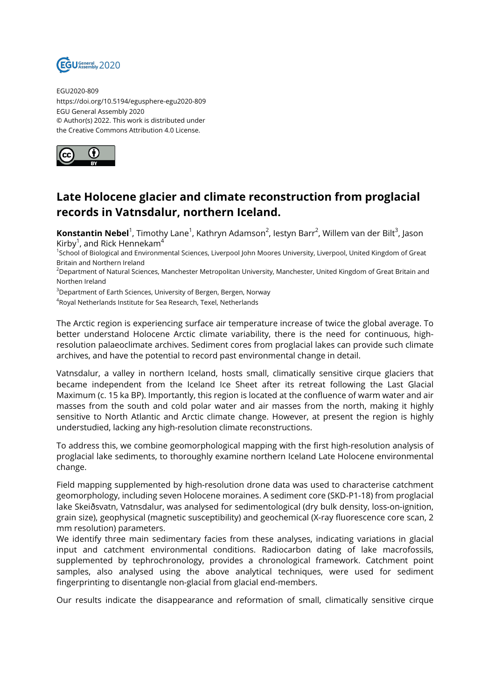

EGU2020-809 https://doi.org/10.5194/egusphere-egu2020-809 EGU General Assembly 2020 © Author(s) 2022. This work is distributed under the Creative Commons Attribution 4.0 License.



## **Late Holocene glacier and climate reconstruction from proglacial records in Vatnsdalur, northern Iceland.**

**Konstantin Nebel**<sup>1</sup>, Timothy Lane<sup>1</sup>, Kathryn Adamson<sup>2</sup>, Iestyn Barr<sup>2</sup>, Willem van der Bilt<sup>3</sup>, Jason Kirby $^1$ , and Rick Hennekam $^4$ 

1 School of Biological and Environmental Sciences, Liverpool John Moores University, Liverpool, United Kingdom of Great Britain and Northern Ireland

<sup>2</sup>Department of Natural Sciences, Manchester Metropolitan University, Manchester, United Kingdom of Great Britain and Northen Ireland

<sup>3</sup> Department of Earth Sciences, University of Bergen, Bergen, Norway

 $^4$ Royal Netherlands Institute for Sea Research, Texel, Netherlands

The Arctic region is experiencing surface air temperature increase of twice the global average. To better understand Holocene Arctic climate variability, there is the need for continuous, highresolution palaeoclimate archives. Sediment cores from proglacial lakes can provide such climate archives, and have the potential to record past environmental change in detail.

Vatnsdalur, a valley in northern Iceland, hosts small, climatically sensitive cirque glaciers that became independent from the Iceland Ice Sheet after its retreat following the Last Glacial Maximum (c. 15 ka BP). Importantly, this region is located at the confluence of warm water and air masses from the south and cold polar water and air masses from the north, making it highly sensitive to North Atlantic and Arctic climate change. However, at present the region is highly understudied, lacking any high-resolution climate reconstructions.

To address this, we combine geomorphological mapping with the first high-resolution analysis of proglacial lake sediments, to thoroughly examine northern Iceland Late Holocene environmental change.

Field mapping supplemented by high-resolution drone data was used to characterise catchment geomorphology, including seven Holocene moraines. A sediment core (SKD-P1-18) from proglacial lake Skeiðsvatn, Vatnsdalur, was analysed for sedimentological (dry bulk density, loss-on-ignition, grain size), geophysical (magnetic susceptibility) and geochemical (X-ray fluorescence core scan, 2 mm resolution) parameters.

We identify three main sedimentary facies from these analyses, indicating variations in glacial input and catchment environmental conditions. Radiocarbon dating of lake macrofossils, supplemented by tephrochronology, provides a chronological framework. Catchment point samples, also analysed using the above analytical techniques, were used for sediment fingerprinting to disentangle non-glacial from glacial end-members.

Our results indicate the disappearance and reformation of small, climatically sensitive cirque